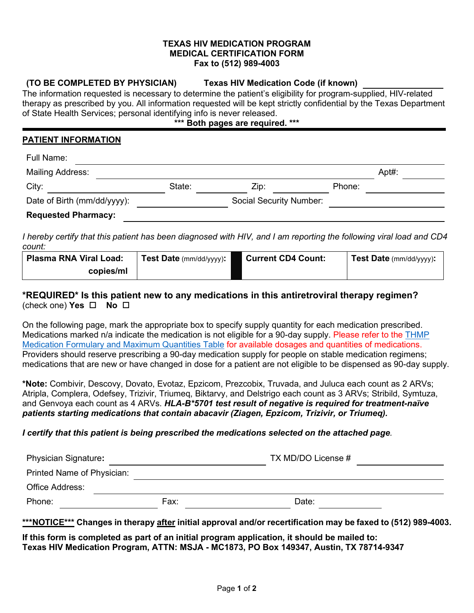#### **TEXAS HIV MEDICATION PROGRAM MEDICAL CERTIFICATION FORM Fax to (512) 989-4003**

#### **(TO BE COMPLETED BY PHYSICIAN) Texas HIV Medication Code (if known)**

The information requested is necessary to determine the patient's eligibility for program-supplied, HIV-related therapy as prescribed by you. All information requested will be kept strictly confidential by the Texas Department of State Health Services; personal identifying info is never released.

# **\*\*\* Both pages are required. \*\*\***

### **PATIENT INFORMATION**

| Full Name:                  |        |                         |        |       |
|-----------------------------|--------|-------------------------|--------|-------|
| <b>Mailing Address:</b>     |        |                         |        | Apt#: |
| City:                       | State: | Zip:                    | Phone: |       |
| Date of Birth (mm/dd/yyyy): |        | Social Security Number: |        |       |
| <b>Requested Pharmacy:</b>  |        |                         |        |       |

*I hereby certify that this patient has been diagnosed with HIV, and I am reporting the following viral load and CD4 count:*

| <b>Plasma RNA Viral Load:</b> | Test Date (mm/dd/yyyy): | <b>Current CD4 Count:</b> | Test Date (mm/dd/yyyy): |
|-------------------------------|-------------------------|---------------------------|-------------------------|
| copies/ml                     |                         |                           |                         |

# **\*REQUIRED\* Is this patient new to any medications in this antiretroviral therapy regimen?** (check one) **Yes No**

On the following page, mark the appropriate box to specify supply quantity for each medication prescribed. Medications marked n/a indicate the medication is not eligible for a 90-day supply. Please refer to the THMP [Medication Formulary and Maximum Quantities](https://www.dshs.texas.gov/hivstd/meds/files/formulary.pdf) Table for available dosages and quantities of medications. Providers should reserve prescribing a 90-day medication supply for people on stable medication regimens; medications that are new or have changed in dose for a patient are not eligible to be dispensed as 90-day supply.

**\*Note:** Combivir, Descovy, Dovato, Evotaz, Epzicom, Prezcobix, Truvada, and Juluca each count as 2 ARVs; Atripla, Complera, Odefsey, Trizivir, Triumeq, Biktarvy, and Delstrigo each count as 3 ARVs; Stribild, Symtuza, and Genvoya each count as 4 ARVs. *HLA-B\*5701 test result of negative is required for treatment-naïve patients starting medications that contain abacavir (Ziagen, Epzicom, Trizivir, or Triumeq).*

## *I certify that this patient is being prescribed the medications selected on the attached page.*

| <b>Physician Signature:</b> |      | TX MD/DO License # |  |
|-----------------------------|------|--------------------|--|
| Printed Name of Physician:  |      |                    |  |
| Office Address:             |      |                    |  |
| Phone:                      | Fax: | Date:              |  |

**\*\*\*NOTICE\*\*\* Changes in therapy after initial approval and/or recertification may be faxed to (512) 989-4003.**

**If this form is completed as part of an initial program application, it should be mailed to: Texas HIV Medication Program, ATTN: MSJA - MC1873, PO Box 149347, Austin, TX 78714-9347**